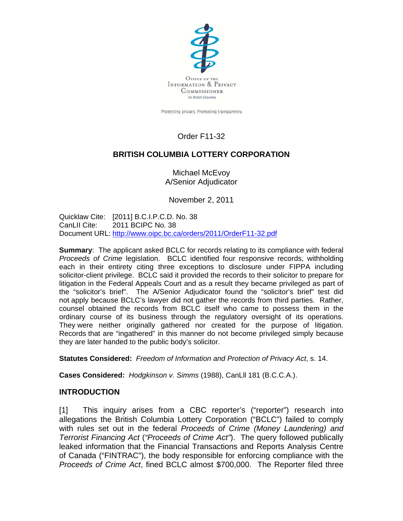

Protecting privacy. Promoting transparency.

# Order F11-32

## **BRITISH COLUMBIA LOTTERY CORPORATION**

Michael McEvoy A/Senior Adjudicator

November 2, 2011

Quicklaw Cite: [2011] B.C.I.P.C.D. No. 38 CanLII Cite: 2011 BCIPC No. 38 Document URL:<http://www.oipc.bc.ca/orders/2011/OrderF11-32.pdf>

**Summary**: The applicant asked BCLC for records relating to its compliance with federal *Proceeds of Crime* legislation. BCLC identified four responsive records, withholding each in their entirety citing three exceptions to disclosure under FIPPA including solicitor-client privilege. BCLC said it provided the records to their solicitor to prepare for litigation in the Federal Appeals Court and as a result they became privileged as part of the "solicitor's brief". The A/Senior Adjudicator found the "solicitor's brief" test did not apply because BCLC's lawyer did not gather the records from third parties. Rather, counsel obtained the records from BCLC itself who came to possess them in the ordinary course of its business through the regulatory oversight of its operations. They were neither originally gathered nor created for the purpose of litigation. Records that are "ingathered" in this manner do not become privileged simply because they are later handed to the public body's solicitor.

**Statutes Considered:** *Freedom of Information and Protection of Privacy Act*, s. 14.

**Cases Considered:** *Hodgkinson v. Simms* (1988), CanLll 181 (B.C.C.A.).

### **INTRODUCTION**

[1] This inquiry arises from a CBC reporter's ("reporter") research into allegations the British Columbia Lottery Corporation ("BCLC") failed to comply with rules set out in the federal *Proceeds of Crime (Money Laundering) and Terrorist Financing Act* (*"Proceeds of Crime Act"*). The query followed publically leaked information that the Financial Transactions and Reports Analysis Centre of Canada ("FINTRAC"), the body responsible for enforcing compliance with the *Proceeds of Crime Act*, fined BCLC almost \$700,000. The Reporter filed three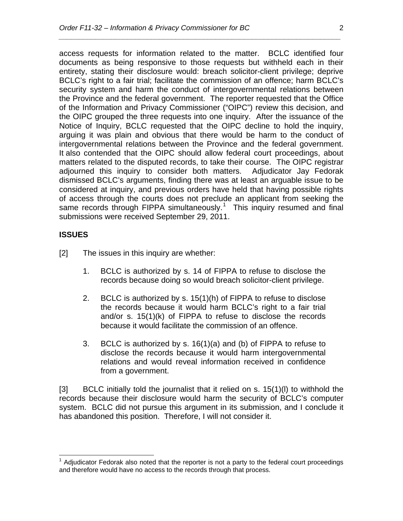access requests for information related to the matter. BCLC identified four documents as being responsive to those requests but withheld each in their entirety, stating their disclosure would: breach solicitor-client privilege; deprive BCLC's right to a fair trial; facilitate the commission of an offence; harm BCLC's security system and harm the conduct of intergovernmental relations between the Province and the federal government. The reporter requested that the Office of the Information and Privacy Commissioner ("OIPC") review this decision, and the OIPC grouped the three requests into one inquiry. After the issuance of the Notice of Inquiry, BCLC requested that the OIPC decline to hold the inquiry, arguing it was plain and obvious that there would be harm to the conduct of intergovernmental relations between the Province and the federal government. It also contended that the OIPC should allow federal court proceedings, about matters related to the disputed records, to take their course. The OIPC registrar adjourned this inquiry to consider both matters. Adjudicator Jay Fedorak dismissed BCLC's arguments, finding there was at least an arguable issue to be considered at inquiry, and previous orders have held that having possible rights of access through the courts does not preclude an applicant from seeking the same records through FIPPA simultaneously.<sup>[1](#page-1-0)</sup> This inquiry resumed and final submissions were received September 29, 2011.

*\_\_\_\_\_\_\_\_\_\_\_\_\_\_\_\_\_\_\_\_\_\_\_\_\_\_\_\_\_\_\_\_\_\_\_\_\_\_\_\_\_\_\_\_\_\_\_\_\_\_\_\_\_\_\_\_\_\_\_\_\_\_\_\_\_\_\_\_\_\_* 

### **ISSUES**

- [2] The issues in this inquiry are whether:
	- 1. BCLC is authorized by s. 14 of FIPPA to refuse to disclose the records because doing so would breach solicitor-client privilege.
	- 2. BCLC is authorized by s. 15(1)(h) of FIPPA to refuse to disclose the records because it would harm BCLC's right to a fair trial and/or s. 15(1)(k) of FIPPA to refuse to disclose the records because it would facilitate the commission of an offence.
	- 3. BCLC is authorized by s. 16(1)(a) and (b) of FIPPA to refuse to disclose the records because it would harm intergovernmental relations and would reveal information received in confidence from a government.

[3] BCLC initially told the journalist that it relied on s. 15(1)(l) to withhold the records because their disclosure would harm the security of BCLC's computer system. BCLC did not pursue this argument in its submission, and I conclude it has abandoned this position. Therefore, I will not consider it.

<span id="page-1-0"></span> $1$  Adjudicator Fedorak also noted that the reporter is not a party to the federal court proceedings and therefore would have no access to the records through that process.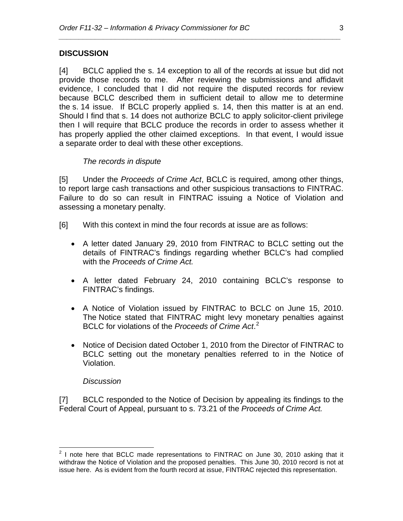### **DISCUSSION**

[4] BCLC applied the s. 14 exception to all of the records at issue but did not provide those records to me. After reviewing the submissions and affidavit evidence, I concluded that I did not require the disputed records for review because BCLC described them in sufficient detail to allow me to determine the s. 14 issue. If BCLC properly applied s. 14, then this matter is at an end. Should I find that s. 14 does not authorize BCLC to apply solicitor-client privilege then I will require that BCLC produce the records in order to assess whether it has properly applied the other claimed exceptions. In that event, I would issue a separate order to deal with these other exceptions.

*\_\_\_\_\_\_\_\_\_\_\_\_\_\_\_\_\_\_\_\_\_\_\_\_\_\_\_\_\_\_\_\_\_\_\_\_\_\_\_\_\_\_\_\_\_\_\_\_\_\_\_\_\_\_\_\_\_\_\_\_\_\_\_\_\_\_\_\_\_\_* 

#### *The records in dispute*

[5] Under the *Proceeds of Crime Act*, BCLC is required, among other things, to report large cash transactions and other suspicious transactions to FINTRAC. Failure to do so can result in FINTRAC issuing a Notice of Violation and assessing a monetary penalty.

- [6] With this context in mind the four records at issue are as follows:
	- A letter dated January 29, 2010 from FINTRAC to BCLC setting out the details of FINTRAC's findings regarding whether BCLC's had complied with the *Proceeds of Crime Act.*
	- A letter dated February 24, 2010 containing BCLC's response to FINTRAC's findings.
	- A Notice of Violation issued by FINTRAC to BCLC on June 15, 2010. The Notice stated that FINTRAC might levy monetary penalties against BCLC for violations of the *Proceeds of Crime Act*. [2](#page-2-0)
	- Notice of Decision dated October 1, 2010 from the Director of FINTRAC to BCLC setting out the monetary penalties referred to in the Notice of Violation.

#### *Discussion*

[7] BCLC responded to the Notice of Decision by appealing its findings to the Federal Court of Appeal, pursuant to s. 73.21 of the *Proceeds of Crime Act.* 

<span id="page-2-0"></span>**EXECUTE:**<br>
<sup>2</sup> I note here that BCLC made representations to FINTRAC on June 30, 2010 asking that it withdraw the Notice of Violation and the proposed penalties. This June 30, 2010 record is not at issue here. As is evident from the fourth record at issue, FINTRAC rejected this representation.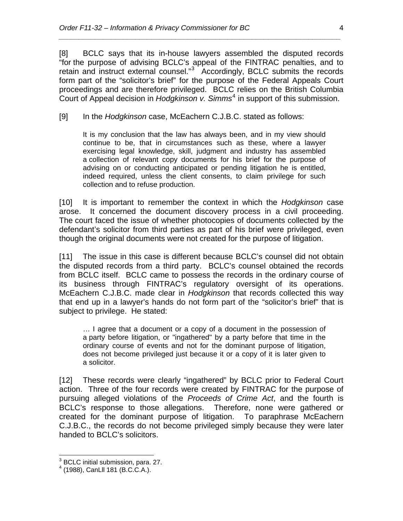[8] BCLC says that its in-house lawyers assembled the disputed records "for the purpose of advising BCLC's appeal of the FINTRAC penalties, and to retain and instruct external counsel."<sup>[3](#page-3-0)</sup> Accordingly, BCLC submits the records form part of the "solicitor's brief" for the purpose of the Federal Appeals Court proceedings and are therefore privileged. BCLC relies on the British Columbia Court of Appeal decision in *Hodgkinson v. Simms*[4](#page-3-1) in support of this submission.

*\_\_\_\_\_\_\_\_\_\_\_\_\_\_\_\_\_\_\_\_\_\_\_\_\_\_\_\_\_\_\_\_\_\_\_\_\_\_\_\_\_\_\_\_\_\_\_\_\_\_\_\_\_\_\_\_\_\_\_\_\_\_\_\_\_\_\_\_\_\_* 

[9] In the *Hodgkinson* case, McEachern C.J.B.C. stated as follows:

It is my conclusion that the law has always been, and in my view should continue to be, that in circumstances such as these, where a lawyer exercising legal knowledge, skill, judgment and industry has assembled a collection of relevant copy documents for his brief for the purpose of advising on or conducting anticipated or pending litigation he is entitled, indeed required, unless the client consents, to claim privilege for such collection and to refuse production.

[10] It is important to remember the context in which the *Hodgkinson* case arose. It concerned the document discovery process in a civil proceeding. The court faced the issue of whether photocopies of documents collected by the defendant's solicitor from third parties as part of his brief were privileged, even though the original documents were not created for the purpose of litigation.

[11] The issue in this case is different because BCLC's counsel did not obtain the disputed records from a third party. BCLC's counsel obtained the records from BCLC itself. BCLC came to possess the records in the ordinary course of its business through FINTRAC's regulatory oversight of its operations. McEachern C.J.B.C. made clear in *Hodgkinson* that records collected this way that end up in a lawyer's hands do not form part of the "solicitor's brief" that is subject to privilege. He stated:

… I agree that a document or a copy of a document in the possession of a party before litigation, or "ingathered" by a party before that time in the ordinary course of events and not for the dominant purpose of litigation, does not become privileged just because it or a copy of it is later given to a solicitor.

[12] These records were clearly "ingathered" by BCLC prior to Federal Court action. Three of the four records were created by FINTRAC for the purpose of pursuing alleged violations of the *Proceeds of Crime Act*, and the fourth is BCLC's response to those allegations. Therefore, none were gathered or created for the dominant purpose of litigation. To paraphrase McEachern C.J.B.C., the records do not become privileged simply because they were later handed to BCLC's solicitors.

 3 BCLC initial submission, para. 27.

<span id="page-3-1"></span><span id="page-3-0"></span><sup>4</sup> (1988), CanLll 181 (B.C.C.A.).